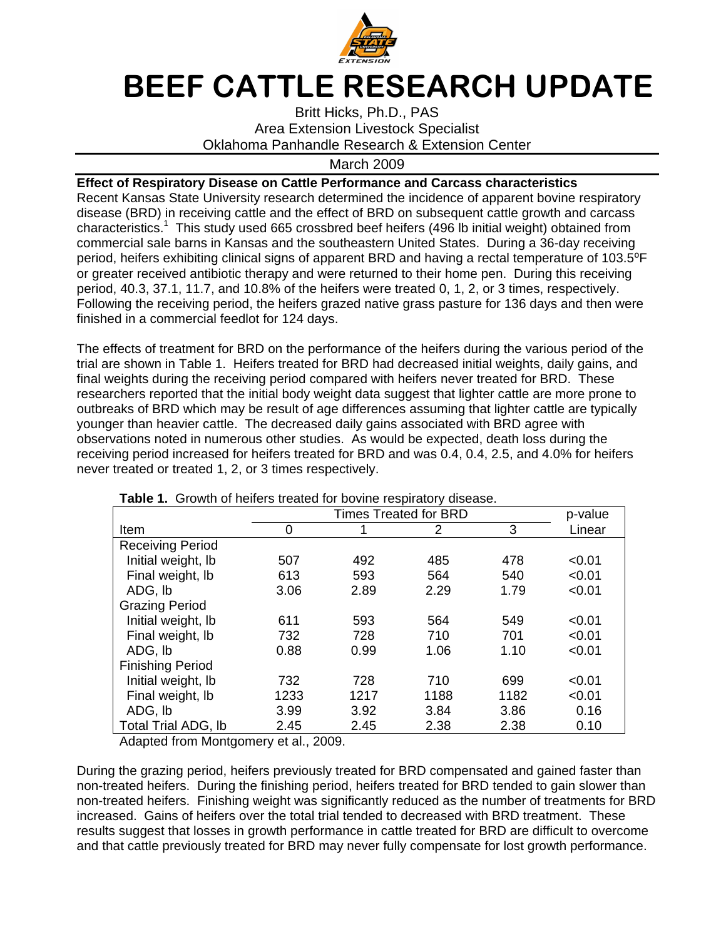

## BEEF CATTLE RESEARCH UPDATE

Britt Hicks, Ph.D., PAS Area Extension Livestock Specialist Oklahoma Panhandle Research & Extension Center

## March 2009

**Effect of Respiratory Disease on Cattle Performance and Carcass characteristics**  Recent Kansas State University research determined the incidence of apparent bovine respiratory disease (BRD) in receiving cattle and the effect of BRD on subsequent cattle growth and carcass characteristics.<sup>1</sup> This study used 665 crossbred beef heifers (496 lb initial weight) obtained from commercial sale barns in Kansas and the southeastern United States. During a 36-day receiving period, heifers exhibiting clinical signs of apparent BRD and having a rectal temperature of 103.5°F or greater received antibiotic therapy and were returned to their home pen. During this receiving period, 40.3, 37.1, 11.7, and 10.8% of the heifers were treated 0, 1, 2, or 3 times, respectively. Following the receiving period, the heifers grazed native grass pasture for 136 days and then were finished in a commercial feedlot for 124 days.

The effects of treatment for BRD on the performance of the heifers during the various period of the trial are shown in Table 1. Heifers treated for BRD had decreased initial weights, daily gains, and final weights during the receiving period compared with heifers never treated for BRD. These researchers reported that the initial body weight data suggest that lighter cattle are more prone to outbreaks of BRD which may be result of age differences assuming that lighter cattle are typically younger than heavier cattle. The decreased daily gains associated with BRD agree with observations noted in numerous other studies. As would be expected, death loss during the receiving period increased for heifers treated for BRD and was 0.4, 0.4, 2.5, and 4.0% for heifers never treated or treated 1, 2, or 3 times respectively.

| <b>Rapic 1.</b> Ordinary rightly treated for boying respiratory disease. |      |         |      |      |        |  |  |  |  |
|--------------------------------------------------------------------------|------|---------|------|------|--------|--|--|--|--|
|                                                                          |      | p-value |      |      |        |  |  |  |  |
| Item                                                                     | 0    | 1       | 2    | 3    | Linear |  |  |  |  |
| <b>Receiving Period</b>                                                  |      |         |      |      |        |  |  |  |  |
| Initial weight, Ib                                                       | 507  | 492     | 485  | 478  | < 0.01 |  |  |  |  |
| Final weight, Ib                                                         | 613  | 593     | 564  | 540  | < 0.01 |  |  |  |  |
| ADG, Ib                                                                  | 3.06 | 2.89    | 2.29 | 1.79 | < 0.01 |  |  |  |  |
| <b>Grazing Period</b>                                                    |      |         |      |      |        |  |  |  |  |
| Initial weight, Ib                                                       | 611  | 593     | 564  | 549  | < 0.01 |  |  |  |  |
| Final weight, lb                                                         | 732  | 728     | 710  | 701  | < 0.01 |  |  |  |  |
| ADG, Ib                                                                  | 0.88 | 0.99    | 1.06 | 1.10 | < 0.01 |  |  |  |  |
| <b>Finishing Period</b>                                                  |      |         |      |      |        |  |  |  |  |
| Initial weight, lb                                                       | 732  | 728     | 710  | 699  | < 0.01 |  |  |  |  |
| Final weight, Ib                                                         | 1233 | 1217    | 1188 | 1182 | < 0.01 |  |  |  |  |
| ADG, Ib                                                                  | 3.99 | 3.92    | 3.84 | 3.86 | 0.16   |  |  |  |  |
| Total Trial ADG, Ib                                                      | 2.45 | 2.45    | 2.38 | 2.38 | 0.10   |  |  |  |  |

**Table 1.** Growth of heifers treated for bovine respiratory disease

Adapted from Montgomery et al., 2009.

During the grazing period, heifers previously treated for BRD compensated and gained faster than non-treated heifers. During the finishing period, heifers treated for BRD tended to gain slower than non-treated heifers. Finishing weight was significantly reduced as the number of treatments for BRD increased. Gains of heifers over the total trial tended to decreased with BRD treatment. These results suggest that losses in growth performance in cattle treated for BRD are difficult to overcome and that cattle previously treated for BRD may never fully compensate for lost growth performance.